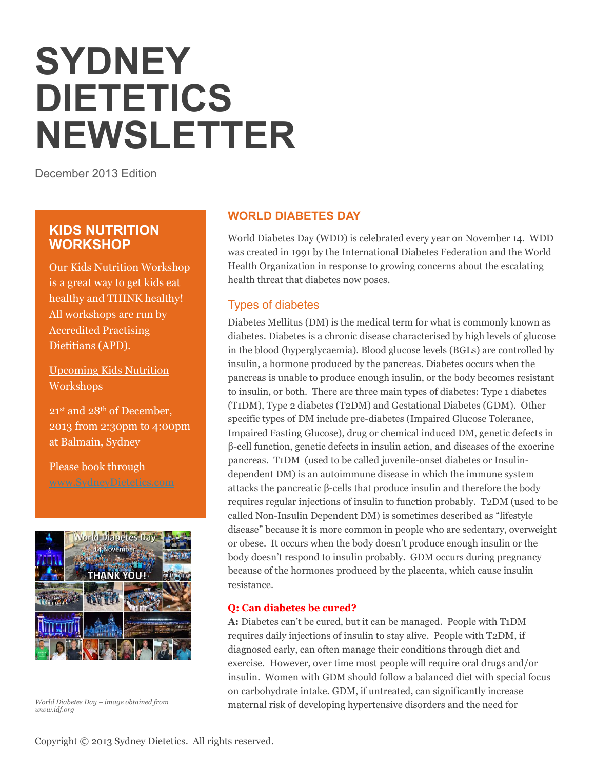# **SYDNEY DIETETICS NEWSLETTER**

December 2013 Edition

# **KIDS NUTRITION WORKSHOP**

Our Kids Nutrition Workshop is a great way to get kids eat healthy and THINK healthy! All workshops are run by Accredited Practising Dietitians (APD).

Upcoming Kids Nutrition Workshops

21st and 28th of December, 2013 from 2:30pm to 4:00pm at Balmain, Sydney

Please book through



*World Diabetes Day – image obtained from www.idf.org*

## **WORLD DIABETES DAY**

World Diabetes Day (WDD) is celebrated every year on November 14. WDD was created in 1991 by the International Diabetes Federation and the World Health Organization in response to growing concerns about the escalating health threat that diabetes now poses.

#### Types of diabetes

Diabetes Mellitus (DM) is the medical term for what is commonly known as diabetes. Diabetes is a chronic disease characterised by high levels of glucose in the blood (hyperglycaemia). Blood glucose levels (BGLs) are controlled by insulin, a hormone produced by the pancreas. Diabetes occurs when the pancreas is unable to produce enough insulin, or the body becomes resistant to insulin, or both. There are three main types of diabetes: Type 1 diabetes (T1DM), Type 2 diabetes (T2DM) and Gestational Diabetes (GDM). Other specific types of DM include pre-diabetes (Impaired Glucose Tolerance, Impaired Fasting Glucose), drug or chemical induced DM, genetic defects in β-cell function, genetic defects in insulin action, and diseases of the exocrine pancreas. T1DM (used to be called juvenile-onset diabetes or Insulindependent DM) is an autoimmune disease in which the immune system attacks the pancreatic β-cells that produce insulin and therefore the body requires regular injections of insulin to function probably. T2DM (used to be called Non-Insulin Dependent DM) is sometimes described as "lifestyle disease" because it is more common in people who are sedentary, overweight or obese. It occurs when the body doesn't produce enough insulin or the body doesn't respond to insulin probably. GDM occurs during pregnancy because of the hormones produced by the placenta, which cause insulin resistance.

#### **Q: Can diabetes be cured?**

**A:** Diabetes can't be cured, but it can be managed. People with T1DM requires daily injections of insulin to stay alive. People with T2DM, if diagnosed early, can often manage their conditions through diet and exercise. However, over time most people will require oral drugs and/or insulin. Women with GDM should follow a balanced diet with special focus on carbohydrate intake. GDM, if untreated, can significantly increase maternal risk of developing hypertensive disorders and the need for